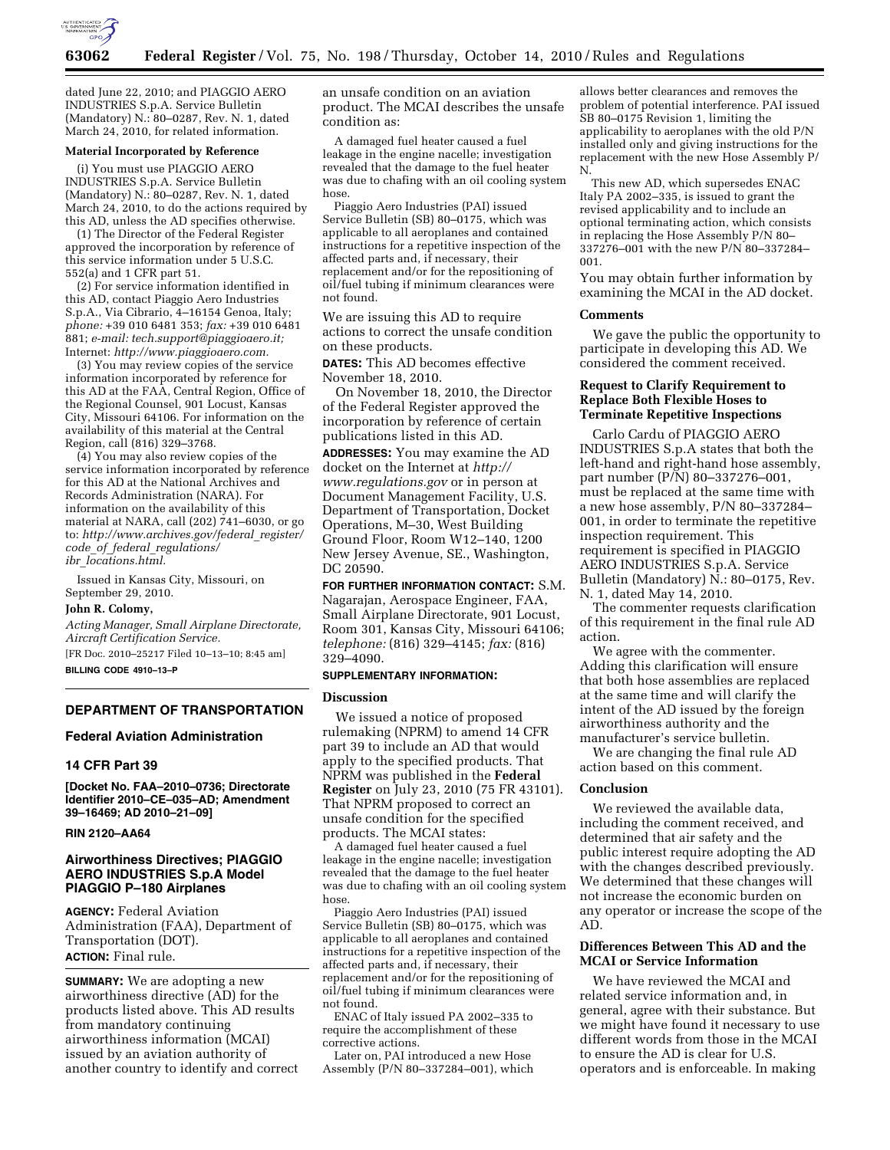

dated June 22, 2010; and PIAGGIO AERO INDUSTRIES S.p.A. Service Bulletin (Mandatory) N.: 80–0287, Rev. N. 1, dated March 24, 2010, for related information.

#### **Material Incorporated by Reference**

(i) You must use PIAGGIO AERO INDUSTRIES S.p.A. Service Bulletin (Mandatory) N.: 80–0287, Rev. N. 1, dated March 24, 2010, to do the actions required by this AD, unless the AD specifies otherwise.

(1) The Director of the Federal Register approved the incorporation by reference of this service information under 5 U.S.C. 552(a) and 1 CFR part 51.

(2) For service information identified in this AD, contact Piaggio Aero Industries S.p.A., Via Cibrario, 4–16154 Genoa, Italy; *phone:* +39 010 6481 353; *fax:* +39 010 6481 881; *e-mail: [tech.support@piaggioaero.it;](mailto:tech.support@piaggioaero.it)*  Internet: *[http://www.piaggioaero.com.](http://www.piaggioaero.com)* 

(3) You may review copies of the service information incorporated by reference for this AD at the FAA, Central Region, Office of the Regional Counsel, 901 Locust, Kansas City, Missouri 64106. For information on the availability of this material at the Central Region, call (816) 329–3768.

(4) You may also review copies of the service information incorporated by reference for this AD at the National Archives and Records Administration (NARA). For information on the availability of this material at NARA, call (202) 741–6030, or go to: *[http://www.archives.gov/federal](http://www.archives.gov/federal_register/code_of_federal_regulations/ibr_locations.html)*\_*register/ code*\_*of*\_*federal*\_*[regulations/](http://www.archives.gov/federal_register/code_of_federal_regulations/ibr_locations.html) ibr*\_*[locations.html.](http://www.archives.gov/federal_register/code_of_federal_regulations/ibr_locations.html)* 

Issued in Kansas City, Missouri, on September 29, 2010.

#### **John R. Colomy,**

*Acting Manager, Small Airplane Directorate, Aircraft Certification Service.* 

[FR Doc. 2010–25217 Filed 10–13–10; 8:45 am]

**BILLING CODE 4910–13–P** 

### **DEPARTMENT OF TRANSPORTATION**

#### **Federal Aviation Administration**

#### **14 CFR Part 39**

**[Docket No. FAA–2010–0736; Directorate Identifier 2010–CE–035–AD; Amendment 39–16469; AD 2010–21–09]** 

### **RIN 2120–AA64**

## **Airworthiness Directives; PIAGGIO AERO INDUSTRIES S.p.A Model PIAGGIO P–180 Airplanes**

**AGENCY:** Federal Aviation Administration (FAA), Department of Transportation (DOT).

# **ACTION:** Final rule.

**SUMMARY:** We are adopting a new airworthiness directive (AD) for the products listed above. This AD results from mandatory continuing airworthiness information (MCAI) issued by an aviation authority of another country to identify and correct an unsafe condition on an aviation product. The MCAI describes the unsafe condition as:

A damaged fuel heater caused a fuel leakage in the engine nacelle; investigation revealed that the damage to the fuel heater was due to chafing with an oil cooling system hose.

Piaggio Aero Industries (PAI) issued Service Bulletin (SB) 80–0175, which was applicable to all aeroplanes and contained instructions for a repetitive inspection of the affected parts and, if necessary, their replacement and/or for the repositioning of oil/fuel tubing if minimum clearances were not found.

We are issuing this AD to require actions to correct the unsafe condition on these products.

**DATES:** This AD becomes effective November 18, 2010.

On November 18, 2010, the Director of the Federal Register approved the incorporation by reference of certain publications listed in this AD.

**ADDRESSES:** You may examine the AD docket on the Internet at *[http://](http://www.regulations.gov)  [www.regulations.gov](http://www.regulations.gov)* or in person at Document Management Facility, U.S. Department of Transportation, Docket Operations, M–30, West Building Ground Floor, Room W12–140, 1200 New Jersey Avenue, SE., Washington, DC 20590.

**FOR FURTHER INFORMATION CONTACT:** S.M. Nagarajan, Aerospace Engineer, FAA, Small Airplane Directorate, 901 Locust, Room 301, Kansas City, Missouri 64106; *telephone:* (816) 329–4145; *fax:* (816) 329–4090.

### **SUPPLEMENTARY INFORMATION:**

### **Discussion**

We issued a notice of proposed rulemaking (NPRM) to amend 14 CFR part 39 to include an AD that would apply to the specified products. That NPRM was published in the **Federal Register** on July 23, 2010 (75 FR 43101). That NPRM proposed to correct an unsafe condition for the specified products. The MCAI states:

A damaged fuel heater caused a fuel leakage in the engine nacelle; investigation revealed that the damage to the fuel heater was due to chafing with an oil cooling system hose.

Piaggio Aero Industries (PAI) issued Service Bulletin (SB) 80–0175, which was applicable to all aeroplanes and contained instructions for a repetitive inspection of the affected parts and, if necessary, their replacement and/or for the repositioning of oil/fuel tubing if minimum clearances were not found.

ENAC of Italy issued PA 2002–335 to require the accomplishment of these corrective actions.

Later on, PAI introduced a new Hose Assembly (P/N 80–337284–001), which

allows better clearances and removes the problem of potential interference. PAI issued SB 80–0175 Revision 1, limiting the applicability to aeroplanes with the old P/N installed only and giving instructions for the replacement with the new Hose Assembly P/ N.

This new AD, which supersedes ENAC Italy PA 2002–335, is issued to grant the revised applicability and to include an optional terminating action, which consists in replacing the Hose Assembly P/N 80– 337276–001 with the new P/N 80–337284– 001.

You may obtain further information by examining the MCAI in the AD docket.

## **Comments**

We gave the public the opportunity to participate in developing this AD. We considered the comment received.

## **Request to Clarify Requirement to Replace Both Flexible Hoses to Terminate Repetitive Inspections**

Carlo Cardu of PIAGGIO AERO INDUSTRIES S.p.A states that both the left-hand and right-hand hose assembly, part number (P/N) 80–337276–001, must be replaced at the same time with a new hose assembly, P/N 80–337284– 001, in order to terminate the repetitive inspection requirement. This requirement is specified in PIAGGIO AERO INDUSTRIES S.p.A. Service Bulletin (Mandatory) N.: 80–0175, Rev. N. 1, dated May 14, 2010.

The commenter requests clarification of this requirement in the final rule AD action.

We agree with the commenter. Adding this clarification will ensure that both hose assemblies are replaced at the same time and will clarify the intent of the AD issued by the foreign airworthiness authority and the manufacturer's service bulletin.

We are changing the final rule AD action based on this comment.

### **Conclusion**

We reviewed the available data, including the comment received, and determined that air safety and the public interest require adopting the AD with the changes described previously. We determined that these changes will not increase the economic burden on any operator or increase the scope of the AD.

## **Differences Between This AD and the MCAI or Service Information**

We have reviewed the MCAI and related service information and, in general, agree with their substance. But we might have found it necessary to use different words from those in the MCAI to ensure the AD is clear for U.S. operators and is enforceable. In making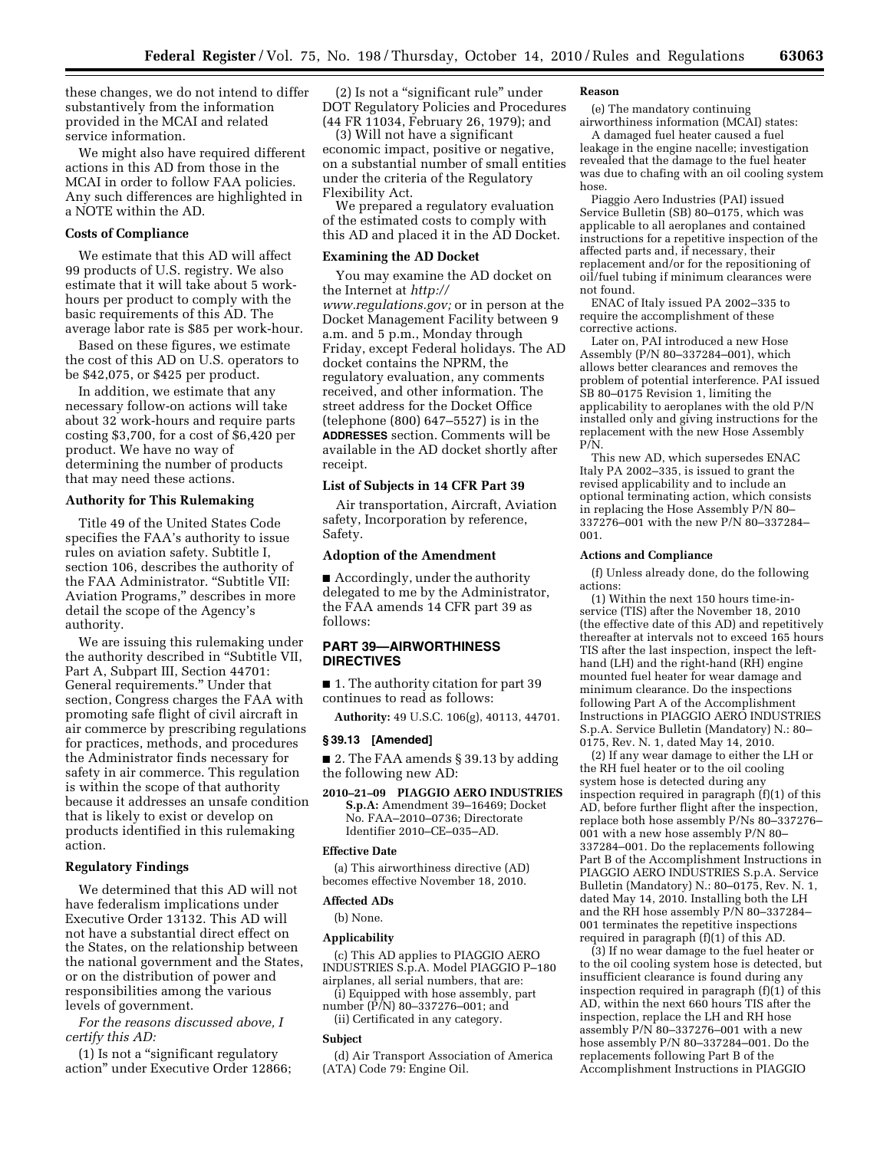these changes, we do not intend to differ substantively from the information provided in the MCAI and related service information.

We might also have required different actions in this AD from those in the MCAI in order to follow FAA policies. Any such differences are highlighted in a NOTE within the AD.

## **Costs of Compliance**

We estimate that this AD will affect 99 products of U.S. registry. We also estimate that it will take about 5 workhours per product to comply with the basic requirements of this AD. The average labor rate is \$85 per work-hour.

Based on these figures, we estimate the cost of this AD on U.S. operators to be \$42,075, or \$425 per product.

In addition, we estimate that any necessary follow-on actions will take about 32 work-hours and require parts costing \$3,700, for a cost of \$6,420 per product. We have no way of determining the number of products that may need these actions.

## **Authority for This Rulemaking**

Title 49 of the United States Code specifies the FAA's authority to issue rules on aviation safety. Subtitle I, section 106, describes the authority of the FAA Administrator. "Subtitle VII: Aviation Programs,'' describes in more detail the scope of the Agency's authority.

We are issuing this rulemaking under the authority described in ''Subtitle VII, Part A, Subpart III, Section 44701: General requirements.'' Under that section, Congress charges the FAA with promoting safe flight of civil aircraft in air commerce by prescribing regulations for practices, methods, and procedures the Administrator finds necessary for safety in air commerce. This regulation is within the scope of that authority because it addresses an unsafe condition that is likely to exist or develop on products identified in this rulemaking action.

# **Regulatory Findings**

We determined that this AD will not have federalism implications under Executive Order 13132. This AD will not have a substantial direct effect on the States, on the relationship between the national government and the States, or on the distribution of power and responsibilities among the various levels of government.

*For the reasons discussed above, I certify this AD:* 

(1) Is not a ''significant regulatory action'' under Executive Order 12866;

(2) Is not a ''significant rule'' under DOT Regulatory Policies and Procedures (44 FR 11034, February 26, 1979); and

(3) Will not have a significant economic impact, positive or negative, on a substantial number of small entities under the criteria of the Regulatory Flexibility Act.

We prepared a regulatory evaluation of the estimated costs to comply with this AD and placed it in the AD Docket.

## **Examining the AD Docket**

You may examine the AD docket on the Internet at *[http://](http://www.regulations.gov)  [www.regulations.gov;](http://www.regulations.gov)* or in person at the Docket Management Facility between 9 a.m. and 5 p.m., Monday through Friday, except Federal holidays. The AD docket contains the NPRM, the regulatory evaluation, any comments received, and other information. The street address for the Docket Office (telephone (800) 647–5527) is in the **ADDRESSES** section. Comments will be available in the AD docket shortly after receipt.

## **List of Subjects in 14 CFR Part 39**

Air transportation, Aircraft, Aviation safety, Incorporation by reference, Safety.

## **Adoption of the Amendment**

■ Accordingly, under the authority delegated to me by the Administrator, the FAA amends 14 CFR part 39 as follows:

# **PART 39—AIRWORTHINESS DIRECTIVES**

■ 1. The authority citation for part 39 continues to read as follows:

**Authority:** 49 U.S.C. 106(g), 40113, 44701.

## **§ 39.13 [Amended]**

■ 2. The FAA amends § 39.13 by adding the following new AD:

**2010–21–09 PIAGGIO AERO INDUSTRIES S.p.A:** Amendment 39–16469; Docket No. FAA–2010–0736; Directorate Identifier 2010–CE–035–AD.

#### **Effective Date**

(a) This airworthiness directive (AD) becomes effective November 18, 2010.

## **Affected ADs**

(b) None.

### **Applicability**

(c) This AD applies to PIAGGIO AERO INDUSTRIES S.p.A. Model PIAGGIO P–180 airplanes, all serial numbers, that are:

(i) Equipped with hose assembly, part number (P/N) 80–337276–001; and

(ii) Certificated in any category.

## **Subject**

(d) Air Transport Association of America (ATA) Code 79: Engine Oil.

#### **Reason**

(e) The mandatory continuing airworthiness information (MCAI) states:

A damaged fuel heater caused a fuel leakage in the engine nacelle; investigation revealed that the damage to the fuel heater was due to chafing with an oil cooling system hose.

Piaggio Aero Industries (PAI) issued Service Bulletin (SB) 80–0175, which was applicable to all aeroplanes and contained instructions for a repetitive inspection of the affected parts and, if necessary, their replacement and/or for the repositioning of oil/fuel tubing if minimum clearances were not found.

ENAC of Italy issued PA 2002–335 to require the accomplishment of these corrective actions.

Later on, PAI introduced a new Hose Assembly (P/N 80–337284–001), which allows better clearances and removes the problem of potential interference. PAI issued SB 80–0175 Revision 1, limiting the applicability to aeroplanes with the old P/N installed only and giving instructions for the replacement with the new Hose Assembly P/N.

This new AD, which supersedes ENAC Italy PA 2002–335, is issued to grant the revised applicability and to include an optional terminating action, which consists in replacing the Hose Assembly P/N 80– 337276–001 with the new P/N 80–337284– 001.

#### **Actions and Compliance**

(f) Unless already done, do the following actions:

(1) Within the next 150 hours time-inservice (TIS) after the November 18, 2010 (the effective date of this AD) and repetitively thereafter at intervals not to exceed 165 hours TIS after the last inspection, inspect the lefthand (LH) and the right-hand (RH) engine mounted fuel heater for wear damage and minimum clearance. Do the inspections following Part A of the Accomplishment Instructions in PIAGGIO AERO INDUSTRIES S.p.A. Service Bulletin (Mandatory) N.: 80– 0175, Rev. N. 1, dated May 14, 2010.

(2) If any wear damage to either the LH or the RH fuel heater or to the oil cooling system hose is detected during any inspection required in paragraph (f)(1) of this AD, before further flight after the inspection, replace both hose assembly P/Ns 80–337276– 001 with a new hose assembly P/N 80– 337284–001. Do the replacements following Part B of the Accomplishment Instructions in PIAGGIO AERO INDUSTRIES S.p.A. Service Bulletin (Mandatory) N.: 80–0175, Rev. N. 1, dated May 14, 2010. Installing both the LH and the RH hose assembly P/N 80–337284– 001 terminates the repetitive inspections required in paragraph (f)(1) of this AD.

(3) If no wear damage to the fuel heater or to the oil cooling system hose is detected, but insufficient clearance is found during any inspection required in paragraph (f)(1) of this AD, within the next 660 hours TIS after the inspection, replace the LH and RH hose assembly P/N 80–337276–001 with a new hose assembly P/N 80–337284–001. Do the replacements following Part B of the Accomplishment Instructions in PIAGGIO